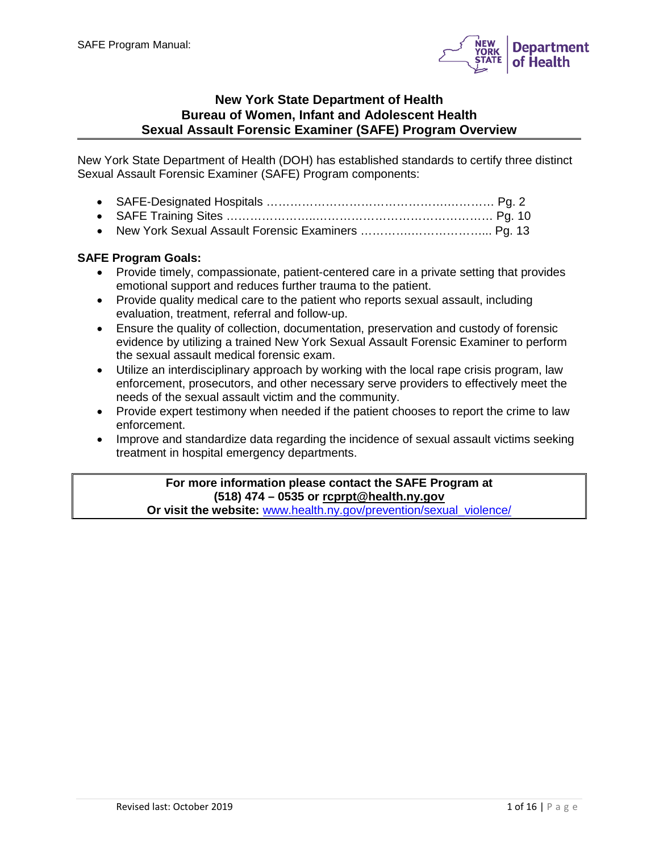

## **New York State Department of Health Bureau of Women, Infant and Adolescent Health Sexual Assault Forensic Examiner (SAFE) Program Overview**

New York State Department of Health (DOH) has established standards to certify three distinct Sexual Assault Forensic Examiner (SAFE) Program components:

# **SAFE Program Goals:**

- Provide timely, compassionate, patient-centered care in a private setting that provides emotional support and reduces further trauma to the patient.
- Provide quality medical care to the patient who reports sexual assault, including evaluation, treatment, referral and follow-up.
- Ensure the quality of collection, documentation, preservation and custody of forensic evidence by utilizing a trained New York Sexual Assault Forensic Examiner to perform the sexual assault medical forensic exam.
- Utilize an interdisciplinary approach by working with the local rape crisis program, law enforcement, prosecutors, and other necessary serve providers to effectively meet the needs of the sexual assault victim and the community.
- Provide expert testimony when needed if the patient chooses to report the crime to law enforcement.
- Improve and standardize data regarding the incidence of sexual assault victims seeking treatment in hospital emergency departments.

# **For more information please contact the SAFE Program at (518) 474 – 0535 or [rcprpt@health.ny.gov](mailto:rcprpt@health.ny.gov)**

**Or visit the website: [www.health.ny.gov/prevention/sexual\\_violence/](http://www.health.ny.gov/prevention/sexual_violence/)**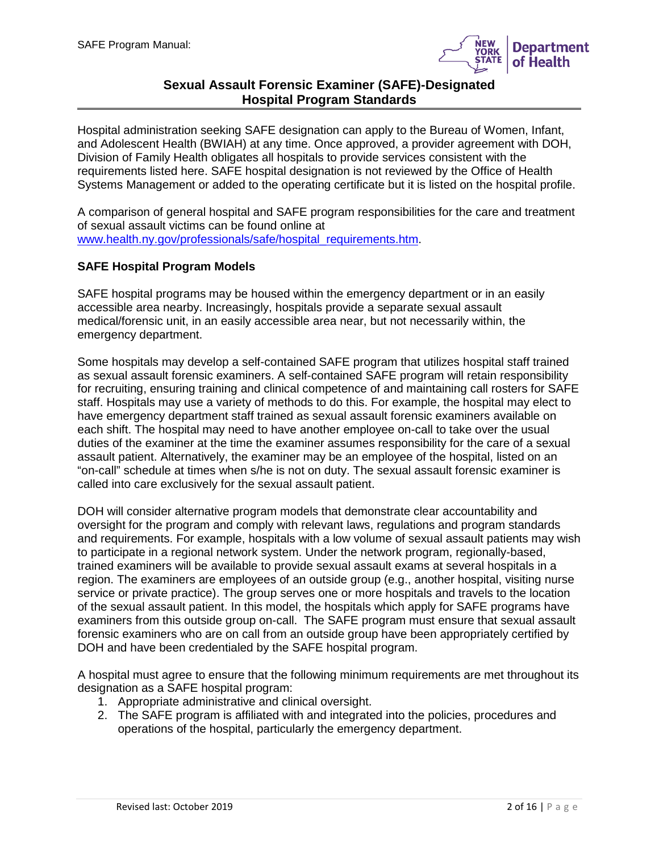

# **Sexual Assault Forensic Examiner (SAFE)-Designated Hospital Program Standards**

Hospital administration seeking SAFE designation can apply to the Bureau of Women, Infant, and Adolescent Health (BWIAH) at any time. Once approved, a provider agreement with DOH, Division of Family Health obligates all hospitals to provide services consistent with the requirements listed here. SAFE hospital designation is not reviewed by the Office of Health Systems Management or added to the operating certificate but it is listed on the hospital profile.

A comparison of general hospital and SAFE program responsibilities for the care and treatment of sexual assault victims can be found online at [www.health.ny.gov/professionals/safe/hospital\\_requirements.htm.](http://www.health.ny.gov/professionals/safe/hospital_requirements.htm)

## **SAFE Hospital Program Models**

SAFE hospital programs may be housed within the emergency department or in an easily accessible area nearby. Increasingly, hospitals provide a separate sexual assault medical/forensic unit, in an easily accessible area near, but not necessarily within, the emergency department.

Some hospitals may develop a self-contained SAFE program that utilizes hospital staff trained as sexual assault forensic examiners. A self-contained SAFE program will retain responsibility for recruiting, ensuring training and clinical competence of and maintaining call rosters for SAFE staff. Hospitals may use a variety of methods to do this. For example, the hospital may elect to have emergency department staff trained as sexual assault forensic examiners available on each shift. The hospital may need to have another employee on-call to take over the usual duties of the examiner at the time the examiner assumes responsibility for the care of a sexual assault patient. Alternatively, the examiner may be an employee of the hospital, listed on an "on-call" schedule at times when s/he is not on duty. The sexual assault forensic examiner is called into care exclusively for the sexual assault patient.

DOH will consider alternative program models that demonstrate clear accountability and oversight for the program and comply with relevant laws, regulations and program standards and requirements. For example, hospitals with a low volume of sexual assault patients may wish to participate in a regional network system. Under the network program, regionally-based, trained examiners will be available to provide sexual assault exams at several hospitals in a region. The examiners are employees of an outside group (e.g., another hospital, visiting nurse service or private practice). The group serves one or more hospitals and travels to the location of the sexual assault patient. In this model, the hospitals which apply for SAFE programs have examiners from this outside group on-call. The SAFE program must ensure that sexual assault forensic examiners who are on call from an outside group have been appropriately certified by DOH and have been credentialed by the SAFE hospital program.

A hospital must agree to ensure that the following minimum requirements are met throughout its designation as a SAFE hospital program:

- 1. Appropriate administrative and clinical oversight.
- 2. The SAFE program is affiliated with and integrated into the policies, procedures and operations of the hospital, particularly the emergency department.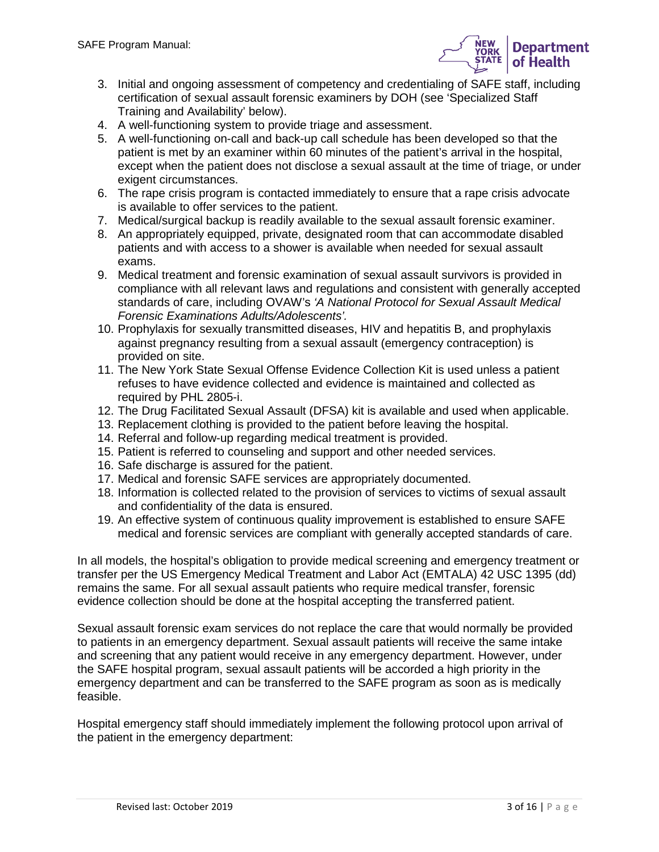

- 3. Initial and ongoing assessment of competency and credentialing of SAFE staff, including certification of sexual assault forensic examiners by DOH (see 'Specialized Staff Training and Availability' below).
- 4. A well-functioning system to provide triage and assessment.
- 5. A well-functioning on-call and back-up call schedule has been developed so that the patient is met by an examiner within 60 minutes of the patient's arrival in the hospital, except when the patient does not disclose a sexual assault at the time of triage, or under exigent circumstances.
- 6. The rape crisis program is contacted immediately to ensure that a rape crisis advocate is available to offer services to the patient.
- 7. Medical/surgical backup is readily available to the sexual assault forensic examiner.
- 8. An appropriately equipped, private, designated room that can accommodate disabled patients and with access to a shower is available when needed for sexual assault exams.
- 9. Medical treatment and forensic examination of sexual assault survivors is provided in compliance with all relevant laws and regulations and consistent with generally accepted standards of care, including OVAW's *'A National Protocol for Sexual Assault Medical Forensic Examinations Adults/Adolescents'.*
- 10. Prophylaxis for sexually transmitted diseases, HIV and hepatitis B, and prophylaxis against pregnancy resulting from a sexual assault (emergency contraception) is provided on site.
- 11. The New York State Sexual Offense Evidence Collection Kit is used unless a patient refuses to have evidence collected and evidence is maintained and collected as required by PHL 2805-i.
- 12. The Drug Facilitated Sexual Assault (DFSA) kit is available and used when applicable.
- 13. Replacement clothing is provided to the patient before leaving the hospital.
- 14. Referral and follow-up regarding medical treatment is provided.
- 15. Patient is referred to counseling and support and other needed services.
- 16. Safe discharge is assured for the patient.
- 17. Medical and forensic SAFE services are appropriately documented.
- 18. Information is collected related to the provision of services to victims of sexual assault and confidentiality of the data is ensured.
- 19. An effective system of continuous quality improvement is established to ensure SAFE medical and forensic services are compliant with generally accepted standards of care.

In all models, the hospital's obligation to provide medical screening and emergency treatment or transfer per the US Emergency Medical Treatment and Labor Act (EMTALA) 42 USC 1395 (dd) remains the same. For all sexual assault patients who require medical transfer, forensic evidence collection should be done at the hospital accepting the transferred patient.

Sexual assault forensic exam services do not replace the care that would normally be provided to patients in an emergency department. Sexual assault patients will receive the same intake and screening that any patient would receive in any emergency department. However, under the SAFE hospital program, sexual assault patients will be accorded a high priority in the emergency department and can be transferred to the SAFE program as soon as is medically feasible.

Hospital emergency staff should immediately implement the following protocol upon arrival of the patient in the emergency department: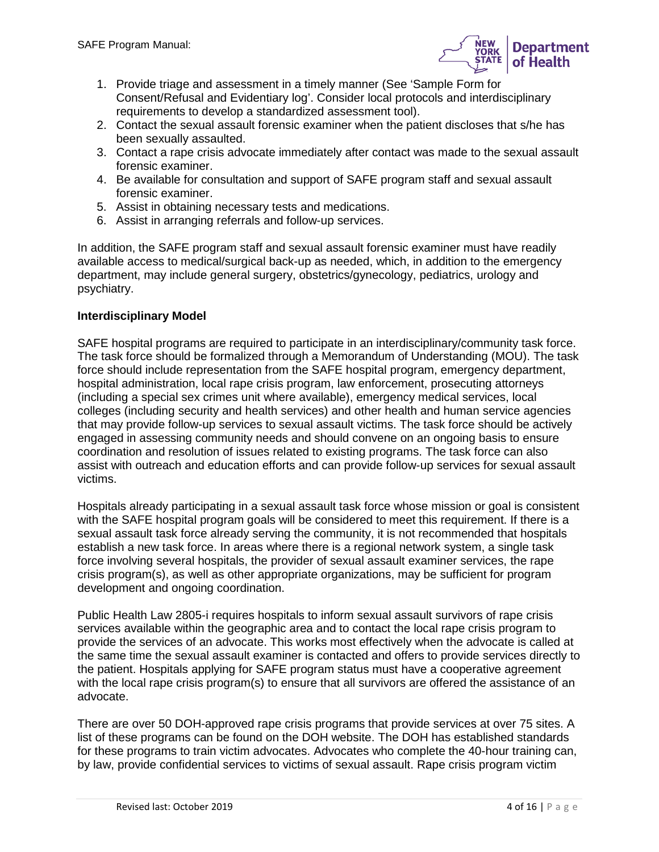

- 1. Provide triage and assessment in a timely manner (See 'Sample Form for Consent/Refusal and Evidentiary log'. Consider local protocols and interdisciplinary requirements to develop a standardized assessment tool).
- 2. Contact the sexual assault forensic examiner when the patient discloses that s/he has been sexually assaulted.
- 3. Contact a rape crisis advocate immediately after contact was made to the sexual assault forensic examiner.
- 4. Be available for consultation and support of SAFE program staff and sexual assault forensic examiner.
- 5. Assist in obtaining necessary tests and medications.
- 6. Assist in arranging referrals and follow-up services.

In addition, the SAFE program staff and sexual assault forensic examiner must have readily available access to medical/surgical back-up as needed, which, in addition to the emergency department, may include general surgery, obstetrics/gynecology, pediatrics, urology and psychiatry.

## **Interdisciplinary Model**

SAFE hospital programs are required to participate in an interdisciplinary/community task force. The task force should be formalized through a Memorandum of Understanding (MOU). The task force should include representation from the SAFE hospital program, emergency department, hospital administration, local rape crisis program, law enforcement, prosecuting attorneys (including a special sex crimes unit where available), emergency medical services, local colleges (including security and health services) and other health and human service agencies that may provide follow-up services to sexual assault victims. The task force should be actively engaged in assessing community needs and should convene on an ongoing basis to ensure coordination and resolution of issues related to existing programs. The task force can also assist with outreach and education efforts and can provide follow-up services for sexual assault victims.

Hospitals already participating in a sexual assault task force whose mission or goal is consistent with the SAFE hospital program goals will be considered to meet this requirement. If there is a sexual assault task force already serving the community, it is not recommended that hospitals establish a new task force. In areas where there is a regional network system, a single task force involving several hospitals, the provider of sexual assault examiner services, the rape crisis program(s), as well as other appropriate organizations, may be sufficient for program development and ongoing coordination.

Public Health Law 2805-i requires hospitals to inform sexual assault survivors of rape crisis services available within the geographic area and to contact the local rape crisis program to provide the services of an advocate. This works most effectively when the advocate is called at the same time the sexual assault examiner is contacted and offers to provide services directly to the patient. Hospitals applying for SAFE program status must have a cooperative agreement with the local rape crisis program(s) to ensure that all survivors are offered the assistance of an advocate.

There are over 50 DOH-approved rape crisis programs that provide services at over 75 sites. A list of these programs can be found on the DOH website. The DOH has established standards for these programs to train victim advocates. Advocates who complete the 40-hour training can, by law, provide confidential services to victims of sexual assault. Rape crisis program victim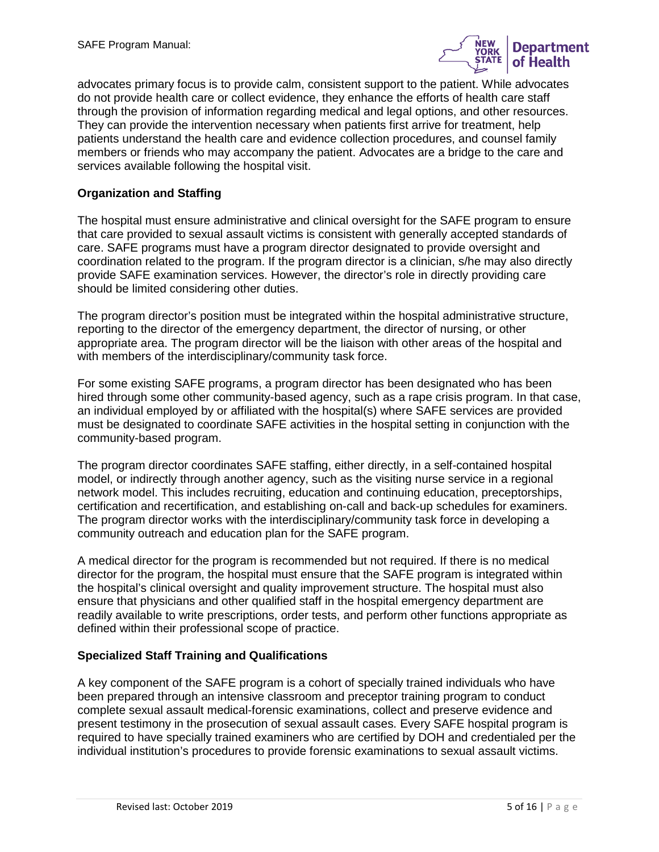

advocates primary focus is to provide calm, consistent support to the patient. While advocates do not provide health care or collect evidence, they enhance the efforts of health care staff through the provision of information regarding medical and legal options, and other resources. They can provide the intervention necessary when patients first arrive for treatment, help patients understand the health care and evidence collection procedures, and counsel family members or friends who may accompany the patient. Advocates are a bridge to the care and services available following the hospital visit.

#### **Organization and Staffing**

The hospital must ensure administrative and clinical oversight for the SAFE program to ensure that care provided to sexual assault victims is consistent with generally accepted standards of care. SAFE programs must have a program director designated to provide oversight and coordination related to the program. If the program director is a clinician, s/he may also directly provide SAFE examination services. However, the director's role in directly providing care should be limited considering other duties.

The program director's position must be integrated within the hospital administrative structure, reporting to the director of the emergency department, the director of nursing, or other appropriate area. The program director will be the liaison with other areas of the hospital and with members of the interdisciplinary/community task force.

For some existing SAFE programs, a program director has been designated who has been hired through some other community-based agency, such as a rape crisis program. In that case, an individual employed by or affiliated with the hospital(s) where SAFE services are provided must be designated to coordinate SAFE activities in the hospital setting in conjunction with the community-based program.

The program director coordinates SAFE staffing, either directly, in a self-contained hospital model, or indirectly through another agency, such as the visiting nurse service in a regional network model. This includes recruiting, education and continuing education, preceptorships, certification and recertification, and establishing on-call and back-up schedules for examiners. The program director works with the interdisciplinary/community task force in developing a community outreach and education plan for the SAFE program.

A medical director for the program is recommended but not required. If there is no medical director for the program, the hospital must ensure that the SAFE program is integrated within the hospital's clinical oversight and quality improvement structure. The hospital must also ensure that physicians and other qualified staff in the hospital emergency department are readily available to write prescriptions, order tests, and perform other functions appropriate as defined within their professional scope of practice.

#### **Specialized Staff Training and Qualifications**

A key component of the SAFE program is a cohort of specially trained individuals who have been prepared through an intensive classroom and preceptor training program to conduct complete sexual assault medical-forensic examinations, collect and preserve evidence and present testimony in the prosecution of sexual assault cases. Every SAFE hospital program is required to have specially trained examiners who are certified by DOH and credentialed per the individual institution's procedures to provide forensic examinations to sexual assault victims.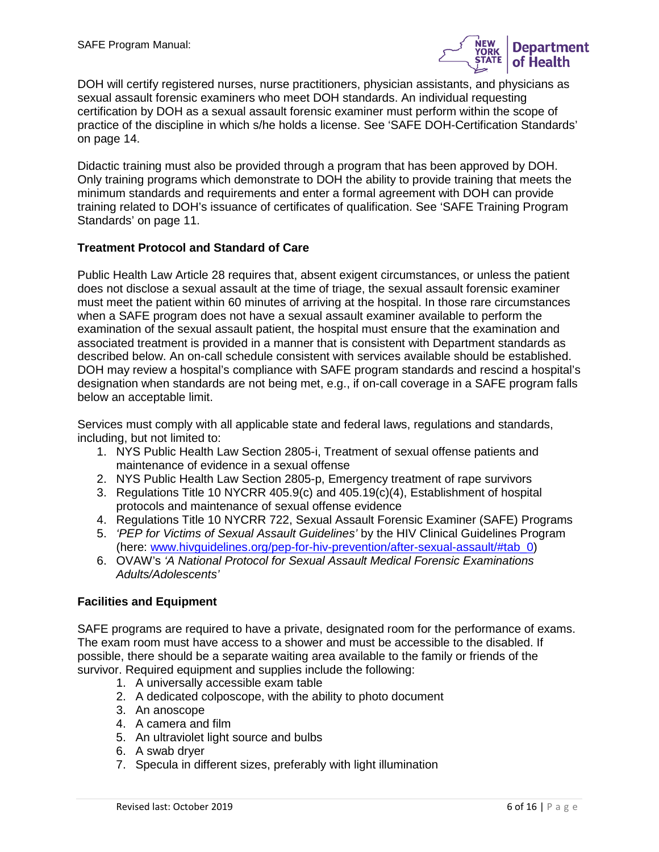

DOH will certify registered nurses, nurse practitioners, physician assistants, and physicians as sexual assault forensic examiners who meet DOH standards. An individual requesting certification by DOH as a sexual assault forensic examiner must perform within the scope of practice of the discipline in which s/he holds a license. See 'SAFE DOH-Certification Standards' on page 14.

Didactic training must also be provided through a program that has been approved by DOH. Only training programs which demonstrate to DOH the ability to provide training that meets the minimum standards and requirements and enter a formal agreement with DOH can provide training related to DOH's issuance of certificates of qualification. See 'SAFE Training Program Standards' on page 11.

### **Treatment Protocol and Standard of Care**

Public Health Law Article 28 requires that, absent exigent circumstances, or unless the patient does not disclose a sexual assault at the time of triage, the sexual assault forensic examiner must meet the patient within 60 minutes of arriving at the hospital. In those rare circumstances when a SAFE program does not have a sexual assault examiner available to perform the examination of the sexual assault patient, the hospital must ensure that the examination and associated treatment is provided in a manner that is consistent with Department standards as described below. An on-call schedule consistent with services available should be established. DOH may review a hospital's compliance with SAFE program standards and rescind a hospital's designation when standards are not being met, e.g., if on-call coverage in a SAFE program falls below an acceptable limit.

Services must comply with all applicable state and federal laws, regulations and standards, including, but not limited to:

- 1. NYS Public Health Law Section 2805-i, Treatment of sexual offense patients and maintenance of evidence in a sexual offense
- 2. NYS Public Health Law Section 2805-p, Emergency treatment of rape survivors
- 3. Regulations Title 10 NYCRR 405.9(c) and 405.19(c)(4), Establishment of hospital protocols and maintenance of sexual offense evidence
- 4. Regulations Title 10 NYCRR 722, Sexual Assault Forensic Examiner (SAFE) Programs
- 5. *'PEP for Victims of Sexual Assault Guidelines'* by the HIV Clinical Guidelines Program (here: [www.hivguidelines.org/pep-for-hiv-prevention/after-sexual-assault/#tab\\_0\)](http://www.hivguidelines.org/pep-for-hiv-prevention/after-sexual-assault/#tab_0)
- 6. OVAW's *'A National Protocol for Sexual Assault Medical Forensic Examinations Adults/Adolescents'*

### **Facilities and Equipment**

SAFE programs are required to have a private, designated room for the performance of exams. The exam room must have access to a shower and must be accessible to the disabled. If possible, there should be a separate waiting area available to the family or friends of the survivor. Required equipment and supplies include the following:

- 1. A universally accessible exam table
- 2. A dedicated colposcope, with the ability to photo document
- 3. An anoscope
- 4. A camera and film
- 5. An ultraviolet light source and bulbs
- 6. A swab dryer
- 7. Specula in different sizes, preferably with light illumination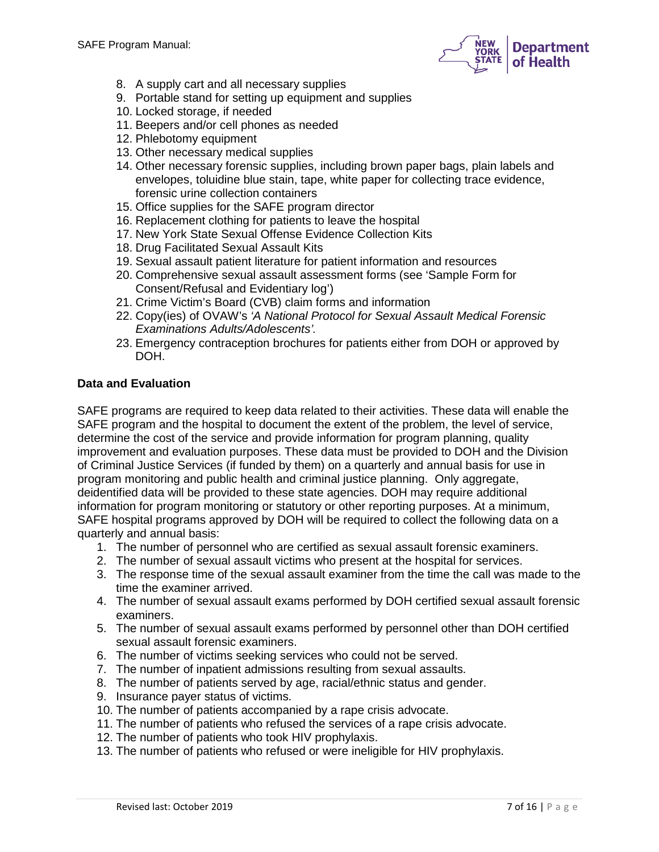

- 8. A supply cart and all necessary supplies
- 9. Portable stand for setting up equipment and supplies
- 10. Locked storage, if needed
- 11. Beepers and/or cell phones as needed
- 12. Phlebotomy equipment
- 13. Other necessary medical supplies
- 14. Other necessary forensic supplies, including brown paper bags, plain labels and envelopes, toluidine blue stain, tape, white paper for collecting trace evidence, forensic urine collection containers
- 15. Office supplies for the SAFE program director
- 16. Replacement clothing for patients to leave the hospital
- 17. New York State Sexual Offense Evidence Collection Kits
- 18. Drug Facilitated Sexual Assault Kits
- 19. Sexual assault patient literature for patient information and resources
- 20. Comprehensive sexual assault assessment forms (see 'Sample Form for Consent/Refusal and Evidentiary log')
- 21. Crime Victim's Board (CVB) claim forms and information
- 22. Copy(ies) of OVAW's *'A National Protocol for Sexual Assault Medical Forensic Examinations Adults/Adolescents'.*
- 23. Emergency contraception brochures for patients either from DOH or approved by DOH.

#### **Data and Evaluation**

SAFE programs are required to keep data related to their activities. These data will enable the SAFE program and the hospital to document the extent of the problem, the level of service, determine the cost of the service and provide information for program planning, quality improvement and evaluation purposes. These data must be provided to DOH and the Division of Criminal Justice Services (if funded by them) on a quarterly and annual basis for use in program monitoring and public health and criminal justice planning. Only aggregate, deidentified data will be provided to these state agencies. DOH may require additional information for program monitoring or statutory or other reporting purposes. At a minimum, SAFE hospital programs approved by DOH will be required to collect the following data on a quarterly and annual basis:

- 1. The number of personnel who are certified as sexual assault forensic examiners.
- 2. The number of sexual assault victims who present at the hospital for services.
- 3. The response time of the sexual assault examiner from the time the call was made to the time the examiner arrived.
- 4. The number of sexual assault exams performed by DOH certified sexual assault forensic examiners.
- 5. The number of sexual assault exams performed by personnel other than DOH certified sexual assault forensic examiners.
- 6. The number of victims seeking services who could not be served.
- 7. The number of inpatient admissions resulting from sexual assaults.
- 8. The number of patients served by age, racial/ethnic status and gender.
- 9. Insurance payer status of victims.
- 10. The number of patients accompanied by a rape crisis advocate.
- 11. The number of patients who refused the services of a rape crisis advocate.
- 12. The number of patients who took HIV prophylaxis.
- 13. The number of patients who refused or were ineligible for HIV prophylaxis.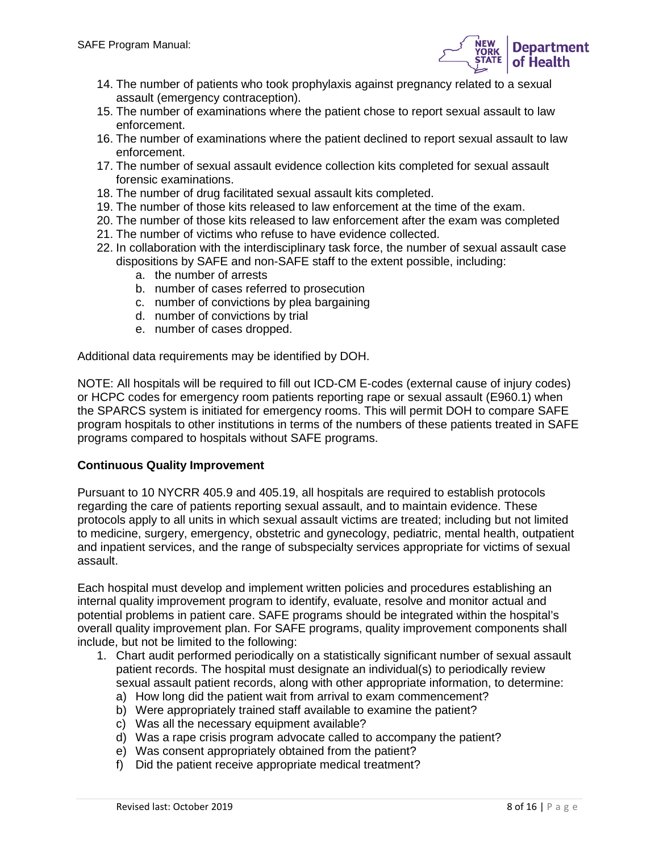

- 14. The number of patients who took prophylaxis against pregnancy related to a sexual assault (emergency contraception).
- 15. The number of examinations where the patient chose to report sexual assault to law enforcement.
- 16. The number of examinations where the patient declined to report sexual assault to law enforcement.
- 17. The number of sexual assault evidence collection kits completed for sexual assault forensic examinations.
- 18. The number of drug facilitated sexual assault kits completed.
- 19. The number of those kits released to law enforcement at the time of the exam.
- 20. The number of those kits released to law enforcement after the exam was completed
- 21. The number of victims who refuse to have evidence collected.
- 22. In collaboration with the interdisciplinary task force, the number of sexual assault case dispositions by SAFE and non-SAFE staff to the extent possible, including:
	- a. the number of arrests
	- b. number of cases referred to prosecution
	- c. number of convictions by plea bargaining
	- d. number of convictions by trial
	- e. number of cases dropped.

Additional data requirements may be identified by DOH.

NOTE: All hospitals will be required to fill out ICD-CM E-codes (external cause of injury codes) or HCPC codes for emergency room patients reporting rape or sexual assault (E960.1) when the SPARCS system is initiated for emergency rooms. This will permit DOH to compare SAFE program hospitals to other institutions in terms of the numbers of these patients treated in SAFE programs compared to hospitals without SAFE programs.

### **Continuous Quality Improvement**

Pursuant to 10 NYCRR 405.9 and 405.19, all hospitals are required to establish protocols regarding the care of patients reporting sexual assault, and to maintain evidence. These protocols apply to all units in which sexual assault victims are treated; including but not limited to medicine, surgery, emergency, obstetric and gynecology, pediatric, mental health, outpatient and inpatient services, and the range of subspecialty services appropriate for victims of sexual assault.

Each hospital must develop and implement written policies and procedures establishing an internal quality improvement program to identify, evaluate, resolve and monitor actual and potential problems in patient care. SAFE programs should be integrated within the hospital's overall quality improvement plan. For SAFE programs, quality improvement components shall include, but not be limited to the following:

- 1. Chart audit performed periodically on a statistically significant number of sexual assault patient records. The hospital must designate an individual(s) to periodically review sexual assault patient records, along with other appropriate information, to determine:
	- a) How long did the patient wait from arrival to exam commencement?
	- b) Were appropriately trained staff available to examine the patient?
	- c) Was all the necessary equipment available?
	- d) Was a rape crisis program advocate called to accompany the patient?
	- e) Was consent appropriately obtained from the patient?
	- f) Did the patient receive appropriate medical treatment?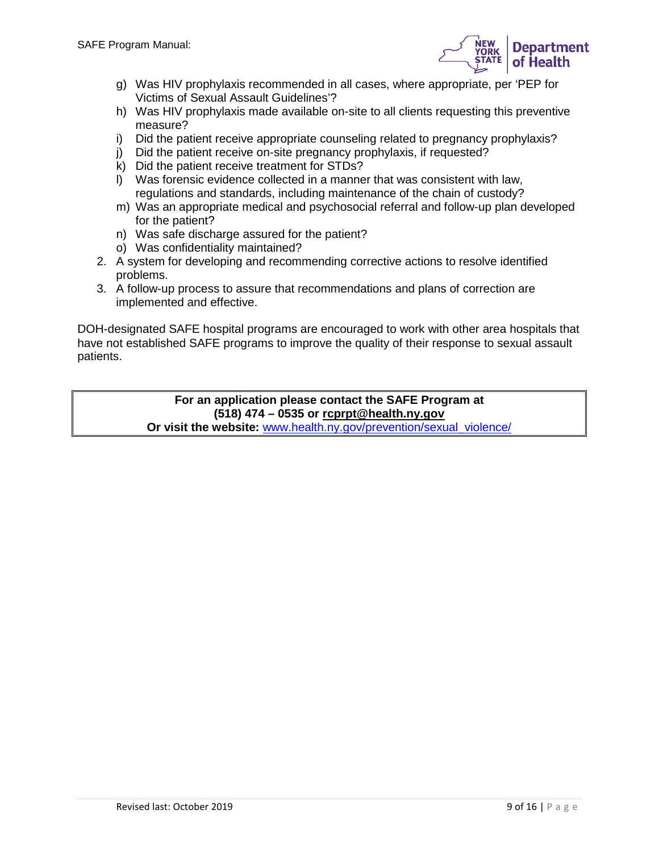

- g) Was HIV prophylaxis recommended in all cases, where appropriate, per 'PEP for Victims of Sexual Assault Guidelines'?
- h) Was HIV prophylaxis made available on-site to all clients requesting this preventive measure?
- i) Did the patient receive appropriate counseling related to pregnancy prophylaxis?
- j) Did the patient receive on-site pregnancy prophylaxis, if requested?
- k) Did the patient receive treatment for STDs?
- l) Was forensic evidence collected in a manner that was consistent with law, regulations and standards, including maintenance of the chain of custody?
- m) Was an appropriate medical and psychosocial referral and follow-up plan developed for the patient?
- n) Was safe discharge assured for the patient?
- o) Was confidentiality maintained?
- 2. A system for developing and recommending corrective actions to resolve identified problems.
- 3. A follow-up process to assure that recommendations and plans of correction are implemented and effective.

DOH-designated SAFE hospital programs are encouraged to work with other area hospitals that have not established SAFE programs to improve the quality of their response to sexual assault patients.

> **For an application please contact the SAFE Program at (518) 474 – 0535 or [rcprpt@health.ny.gov](mailto:rcprpt@health.ny.gov)**

**Or visit the website:** [www.health.ny.gov/prevention/sexual\\_violence/](http://www.health.ny.gov/prevention/sexual_violence/)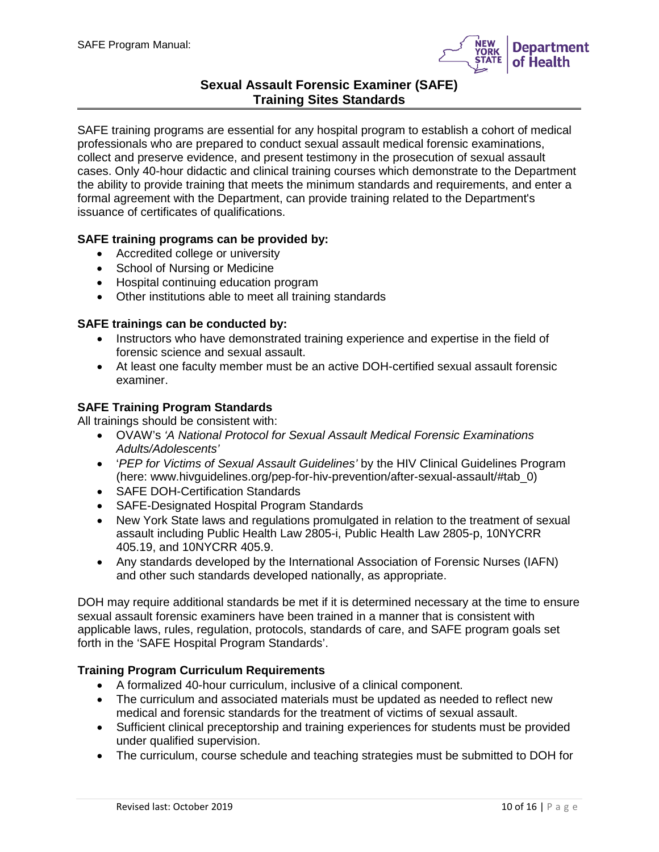

# **Sexual Assault Forensic Examiner (SAFE) Training Sites Standards**

SAFE training programs are essential for any hospital program to establish a cohort of medical professionals who are prepared to conduct sexual assault medical forensic examinations, collect and preserve evidence, and present testimony in the prosecution of sexual assault cases. Only 40-hour didactic and clinical training courses which demonstrate to the Department the ability to provide training that meets the minimum standards and requirements, and enter a formal agreement with the Department, can provide training related to the Department's issuance of certificates of qualifications.

#### **SAFE training programs can be provided by:**

- Accredited college or university
- School of Nursing or Medicine
- Hospital continuing education program
- Other institutions able to meet all training standards

#### **SAFE trainings can be conducted by:**

- Instructors who have demonstrated training experience and expertise in the field of forensic science and sexual assault.
- At least one faculty member must be an active DOH-certified sexual assault forensic examiner.

#### **SAFE Training Program Standards**

All trainings should be consistent with:

- OVAW's *'A National Protocol for Sexual Assault Medical Forensic Examinations Adults/Adolescents'*
- '*PEP for Victims of Sexual Assault Guidelines'* by the HIV Clinical Guidelines Program (here: www.hivguidelines.org/pep-for-hiv-prevention/after-sexual-assault/#tab\_0)
- SAFE DOH-Certification Standards
- SAFE-Designated Hospital Program Standards
- New York State laws and regulations promulgated in relation to the treatment of sexual assault including Public Health Law 2805-i, Public Health Law 2805-p, 10NYCRR 405.19, and 10NYCRR 405.9.
- Any standards developed by the International Association of Forensic Nurses (IAFN) and other such standards developed nationally, as appropriate.

DOH may require additional standards be met if it is determined necessary at the time to ensure sexual assault forensic examiners have been trained in a manner that is consistent with applicable laws, rules, regulation, protocols, standards of care, and SAFE program goals set forth in the 'SAFE Hospital Program Standards'.

### **Training Program Curriculum Requirements**

- A formalized 40-hour curriculum, inclusive of a clinical component.
- The curriculum and associated materials must be updated as needed to reflect new medical and forensic standards for the treatment of victims of sexual assault.
- Sufficient clinical preceptorship and training experiences for students must be provided under qualified supervision.
- The curriculum, course schedule and teaching strategies must be submitted to DOH for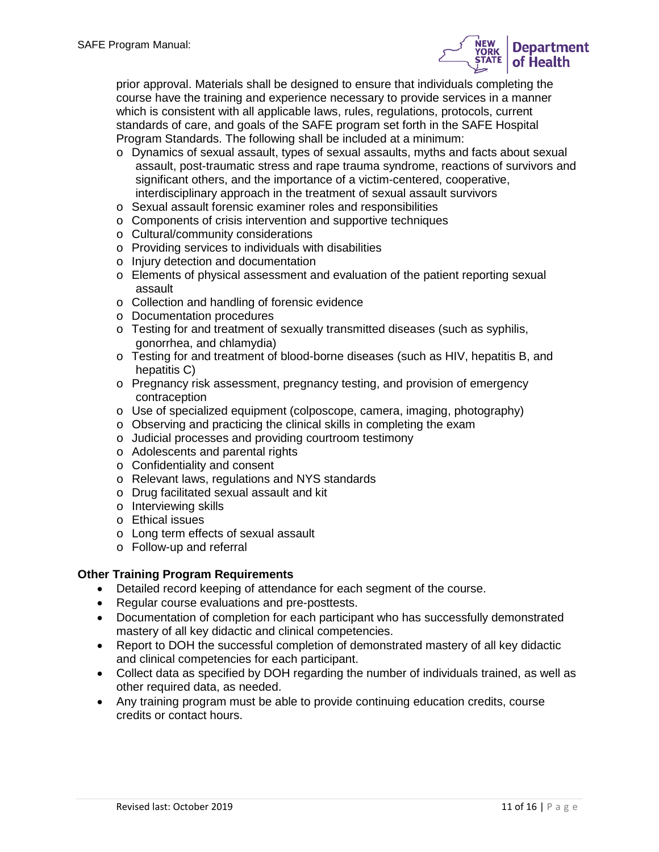

prior approval. Materials shall be designed to ensure that individuals completing the course have the training and experience necessary to provide services in a manner which is consistent with all applicable laws, rules, regulations, protocols, current standards of care, and goals of the SAFE program set forth in the SAFE Hospital Program Standards. The following shall be included at a minimum:

- o Dynamics of sexual assault, types of sexual assaults, myths and facts about sexual assault, post-traumatic stress and rape trauma syndrome, reactions of survivors and significant others, and the importance of a victim-centered, cooperative, interdisciplinary approach in the treatment of sexual assault survivors
- o Sexual assault forensic examiner roles and responsibilities
- o Components of crisis intervention and supportive techniques
- o Cultural/community considerations
- o Providing services to individuals with disabilities
- o Injury detection and documentation
- o Elements of physical assessment and evaluation of the patient reporting sexual assault
- o Collection and handling of forensic evidence
- o Documentation procedures
- $\circ$  Testing for and treatment of sexually transmitted diseases (such as syphilis, gonorrhea, and chlamydia)
- o Testing for and treatment of blood-borne diseases (such as HIV, hepatitis B, and hepatitis C)
- o Pregnancy risk assessment, pregnancy testing, and provision of emergency contraception
- o Use of specialized equipment (colposcope, camera, imaging, photography)
- o Observing and practicing the clinical skills in completing the exam
- o Judicial processes and providing courtroom testimony
- o Adolescents and parental rights
- o Confidentiality and consent
- o Relevant laws, regulations and NYS standards
- o Drug facilitated sexual assault and kit
- o Interviewing skills
- o Ethical issues
- o Long term effects of sexual assault
- o Follow-up and referral

### **Other Training Program Requirements**

- Detailed record keeping of attendance for each segment of the course.
- Regular course evaluations and pre-posttests.
- Documentation of completion for each participant who has successfully demonstrated mastery of all key didactic and clinical competencies.
- Report to DOH the successful completion of demonstrated mastery of all key didactic and clinical competencies for each participant.
- Collect data as specified by DOH regarding the number of individuals trained, as well as other required data, as needed.
- Any training program must be able to provide continuing education credits, course credits or contact hours.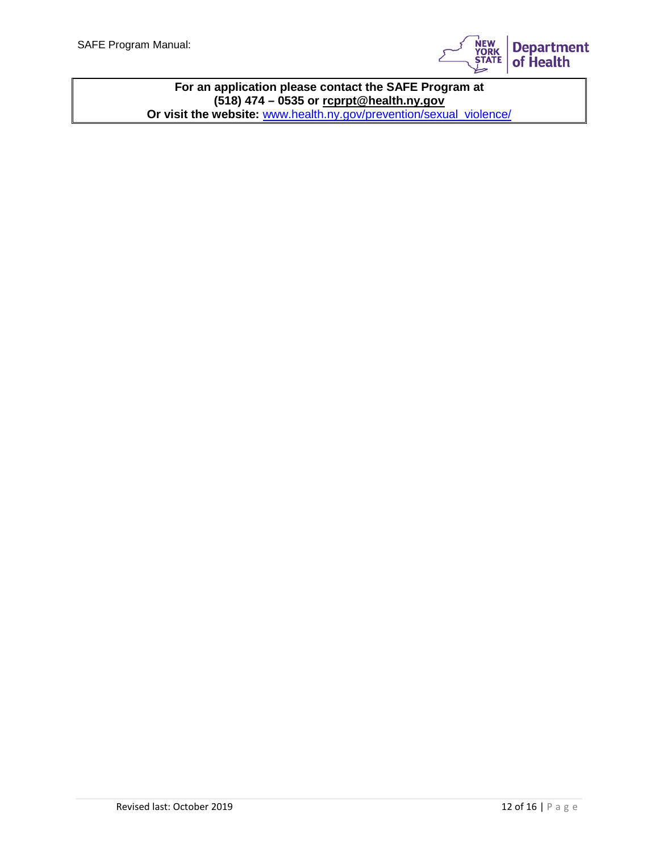

**For an application please contact the SAFE Program at (518) 474 – 0535 or [rcprpt@health.ny.gov](mailto:rcprpt@health.ny.gov) Or visit the website:** [www.health.ny.gov/prevention/sexual\\_violence/](http://www.health.ny.gov/prevention/sexual_violence/)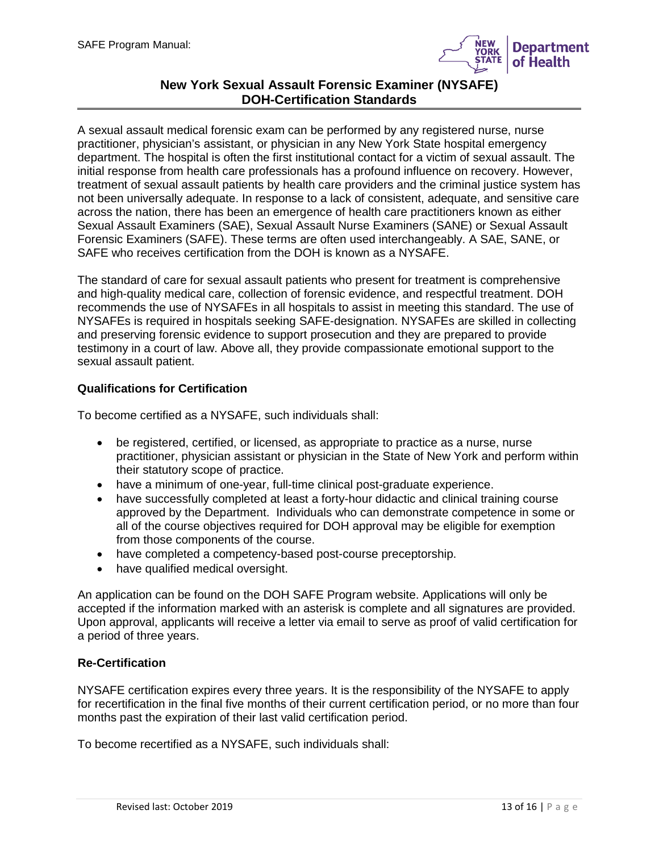

# **New York Sexual Assault Forensic Examiner (NYSAFE) DOH-Certification Standards**

A sexual assault medical forensic exam can be performed by any registered nurse, nurse practitioner, physician's assistant, or physician in any New York State hospital emergency department. The hospital is often the first institutional contact for a victim of sexual assault. The initial response from health care professionals has a profound influence on recovery. However, treatment of sexual assault patients by health care providers and the criminal justice system has not been universally adequate. In response to a lack of consistent, adequate, and sensitive care across the nation, there has been an emergence of health care practitioners known as either Sexual Assault Examiners (SAE), Sexual Assault Nurse Examiners (SANE) or Sexual Assault Forensic Examiners (SAFE). These terms are often used interchangeably. A SAE, SANE, or SAFE who receives certification from the DOH is known as a NYSAFE.

The standard of care for sexual assault patients who present for treatment is comprehensive and high-quality medical care, collection of forensic evidence, and respectful treatment. DOH recommends the use of NYSAFEs in all hospitals to assist in meeting this standard. The use of NYSAFEs is required in hospitals seeking SAFE-designation. NYSAFEs are skilled in collecting and preserving forensic evidence to support prosecution and they are prepared to provide testimony in a court of law. Above all, they provide compassionate emotional support to the sexual assault patient.

## **Qualifications for Certification**

To become certified as a NYSAFE, such individuals shall:

- be registered, certified, or licensed, as appropriate to practice as a nurse, nurse practitioner, physician assistant or physician in the State of New York and perform within their statutory scope of practice.
- have a minimum of one-year, full-time clinical post-graduate experience.
- have successfully completed at least a forty-hour didactic and clinical training course approved by the Department. Individuals who can demonstrate competence in some or all of the course objectives required for DOH approval may be eligible for exemption from those components of the course.
- have completed a competency-based post-course preceptorship.
- have qualified medical oversight.

An application can be found on the DOH SAFE Program website. Applications will only be accepted if the information marked with an asterisk is complete and all signatures are provided. Upon approval, applicants will receive a letter via email to serve as proof of valid certification for a period of three years.

### **Re-Certification**

NYSAFE certification expires every three years. It is the responsibility of the NYSAFE to apply for recertification in the final five months of their current certification period, or no more than four months past the expiration of their last valid certification period.

To become recertified as a NYSAFE, such individuals shall: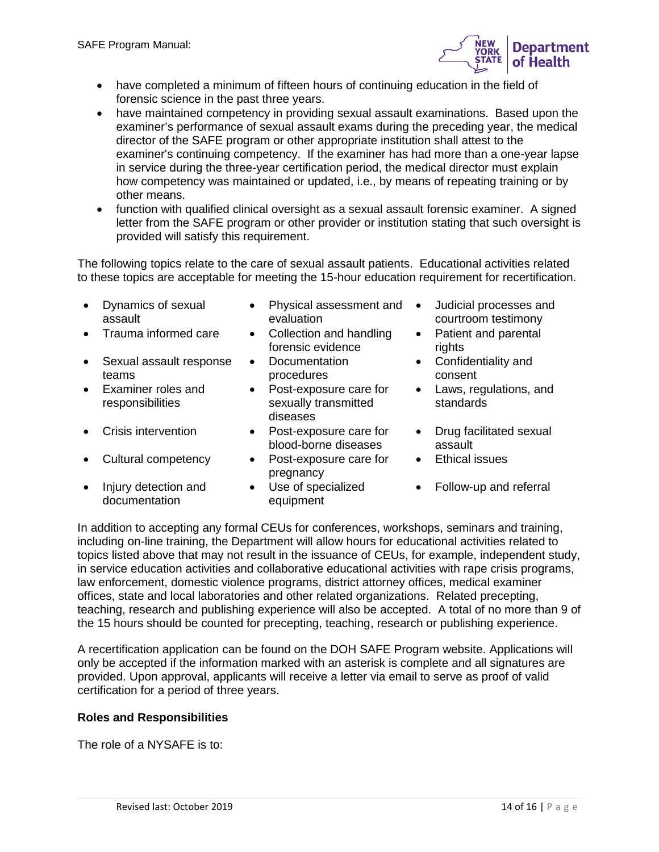

- have completed a minimum of fifteen hours of continuing education in the field of forensic science in the past three years.
- have maintained competency in providing sexual assault examinations. Based upon the examiner's performance of sexual assault exams during the preceding year, the medical director of the SAFE program or other appropriate institution shall attest to the examiner's continuing competency. If the examiner has had more than a one-year lapse in service during the three-year certification period, the medical director must explain how competency was maintained or updated, i.e., by means of repeating training or by other means.
- function with qualified clinical oversight as a sexual assault forensic examiner. A signed letter from the SAFE program or other provider or institution stating that such oversight is provided will satisfy this requirement.

The following topics relate to the care of sexual assault patients. Educational activities related to these topics are acceptable for meeting the 15-hour education requirement for recertification.

- Dynamics of sexual assault
- 
- Sexual assault response teams
- Examiner roles and responsibilities
- 
- Cultural competency Post-exposure care for
- Injury detection and documentation
- Physical assessment and evaluation
- Trauma informed care Collection and handling forensic evidence
	- Documentation procedures
	- Post-exposure care for sexually transmitted diseases
- Crisis intervention Post-exposure care for blood-borne diseases
	- pregnancy
	- Use of specialized equipment
- Judicial processes and courtroom testimony
- Patient and parental rights
- Confidentiality and consent
- Laws, regulations, and standards
- Drug facilitated sexual assault
- Ethical issues
- Follow-up and referral

In addition to accepting any formal CEUs for conferences, workshops, seminars and training, including on-line training, the Department will allow hours for educational activities related to topics listed above that may not result in the issuance of CEUs, for example, independent study, in service education activities and collaborative educational activities with rape crisis programs, law enforcement, domestic violence programs, district attorney offices, medical examiner offices, state and local laboratories and other related organizations. Related precepting, teaching, research and publishing experience will also be accepted. A total of no more than 9 of the 15 hours should be counted for precepting, teaching, research or publishing experience.

A recertification application can be found on the DOH SAFE Program website. Applications will only be accepted if the information marked with an asterisk is complete and all signatures are provided. Upon approval, applicants will receive a letter via email to serve as proof of valid certification for a period of three years.

# **Roles and Responsibilities**

The role of a NYSAFE is to: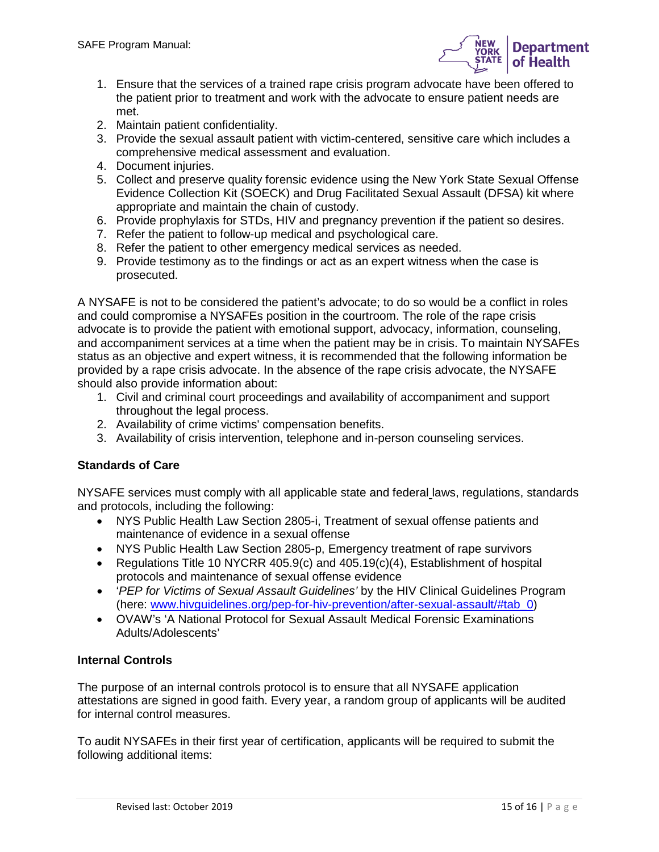

- 1. Ensure that the services of a trained rape crisis program advocate have been offered to the patient prior to treatment and work with the advocate to ensure patient needs are met.
- 2. Maintain patient confidentiality.
- 3. Provide the sexual assault patient with victim-centered, sensitive care which includes a comprehensive medical assessment and evaluation.
- 4. Document injuries.
- 5. Collect and preserve quality forensic evidence using the New York State Sexual Offense Evidence Collection Kit (SOECK) and Drug Facilitated Sexual Assault (DFSA) kit where appropriate and maintain the chain of custody.
- 6. Provide prophylaxis for STDs, HIV and pregnancy prevention if the patient so desires.
- 7. Refer the patient to follow-up medical and psychological care.
- 8. Refer the patient to other emergency medical services as needed.
- 9. Provide testimony as to the findings or act as an expert witness when the case is prosecuted.

A NYSAFE is not to be considered the patient's advocate; to do so would be a conflict in roles and could compromise a NYSAFEs position in the courtroom. The role of the rape crisis advocate is to provide the patient with emotional support, advocacy, information, counseling, and accompaniment services at a time when the patient may be in crisis. To maintain NYSAFEs status as an objective and expert witness, it is recommended that the following information be provided by a rape crisis advocate. In the absence of the rape crisis advocate, the NYSAFE should also provide information about:

- 1. Civil and criminal court proceedings and availability of accompaniment and support throughout the legal process.
- 2. Availability of crime victims' compensation benefits.
- 3. Availability of crisis intervention, telephone and in-person counseling services.

### **Standards of Care**

NYSAFE services must comply with all applicable state and federal laws, regulations, standards and protocols, including the following:

- NYS Public Health Law Section 2805-i, Treatment of sexual offense patients and maintenance of evidence in a sexual offense
- NYS Public Health Law Section 2805-p, Emergency treatment of rape survivors
- Regulations Title 10 NYCRR 405.9(c) and 405.19(c)(4), Establishment of hospital protocols and maintenance of sexual offense evidence
- '*PEP for Victims of Sexual Assault Guidelines'* by the HIV Clinical Guidelines Program (here: [www.hivguidelines.org/pep-for-hiv-prevention/after-sexual-assault/#tab\\_0\)](http://www.hivguidelines.org/pep-for-hiv-prevention/after-sexual-assault/#tab_0)
- OVAW's 'A National Protocol for Sexual Assault Medical Forensic Examinations Adults/Adolescents'

### **Internal Controls**

The purpose of an internal controls protocol is to ensure that all NYSAFE application attestations are signed in good faith. Every year, a random group of applicants will be audited for internal control measures.

To audit NYSAFEs in their first year of certification, applicants will be required to submit the following additional items: